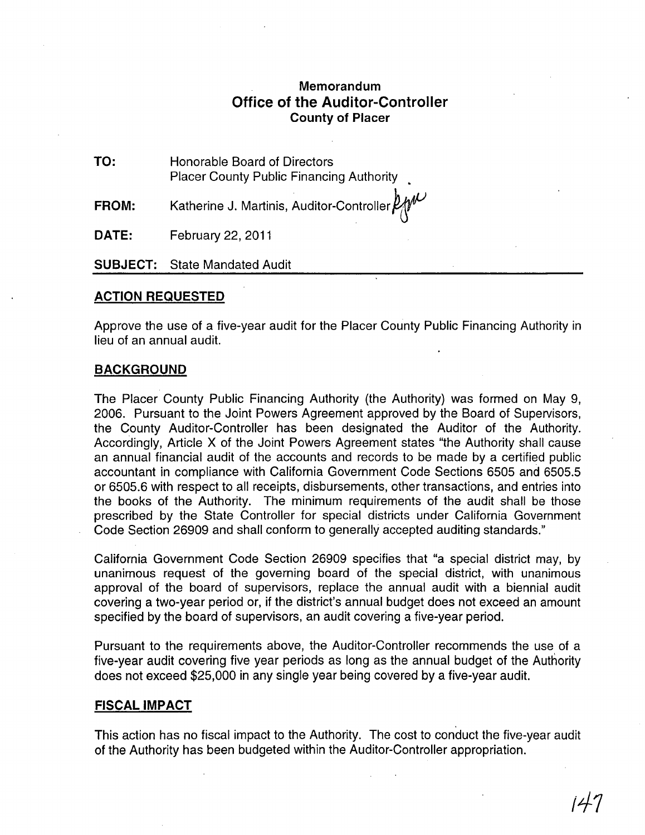# **Memorandum Office of the Auditor-Controller County of Placer**

**TO:**  Honorable Board of Directors Placer County Public Financing Authority

**FROM:**  Katherine J. Martinis, Auditor-Controller  $\not\!\!\!\!\!D\!\!\!\!\!/\mathscr{W}$ 

**DATE:**  February 22, 2011

**SUBJECT:** State Mandated Audit

### **ACTION REQUESTED**

Approve the use of a five-year audit for the Placer County Public Financing Authority in lieu of an annual audit.

### **BACKGROUND**

The Placer County Public Financing Authority (the Authority) was formed on May 9, 2006. Pursuant to the Joint Powers Agreement approved by the Board of Supervisors, the County Auditor-Controller has been designated the Auditor of the Authority. Accordingly, Article X of the Joint Powers Agreement states "the Authority shall cause an annual financial audit of the accounts and records to be made by a certified public accountant in compliance with California Government Code Sections 6505 and 6505.5 or 6505.6 with respect to all receipts, disbursements, other transactions, and entries into the books of the Authority. The minimum requirements of the audit shall be those prescribed by the State Controller for special districts under California Government Code Section 26909 and shall conform to generally accepted auditing standards."

California Government Code Section 26909 specifies that "a special district may, by unanimous request of the governing board of the special district, with unanimous approval of the board of supervisors, replace the annual audit with a biennial audit covering a two-year period or, if the district's annual budget does not exceed an amount specified by the board of supervisors, an audit covering a five-year period.

Pursuant to the requirements above, the Auditor-Controller recommends the use of a five-year audit covering five year periods as long as the annual budget of the Authority does not exceed \$25,000 in any single year being covered by a five-year audit.

### **FISCAL IMPACT**

This action has no fiscal impact to the Authority. The cost to conduct the five-year audit of the Authority has been budgeted within the Auditor-Controller appropriation.

*11-1*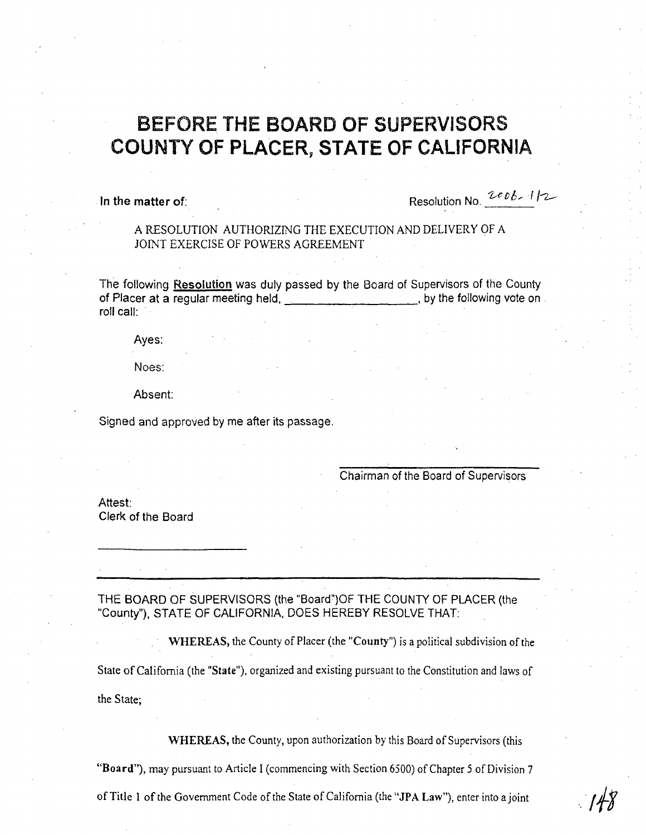# BEFORE THE BOARD OF SUPERVISORS COUNTY OF PLACER, **STATE** OF CALIFORNIA

In the matter of: **Resolution No.**  $2006 - 1/2$ 

A RESOLUTION AUTHORIZING THE EXECUTION AND DELIVERY OF A JOINT EXERCISE OF POWERS AGREEMENT

The following Resolution was duly passed by the Board of Supervisors of the County of Placer at a regular meeting held, in the same and the following vote on a set of  $\mathbb{R}$ . roll call:

Ayes:

Noes:

Absent:

Signed and approved by me after its passage.

Chairman of the Board of Supervisors

Attest: Clerk of the Board

THE BOARD OF SUPERVISORS (the "Board") OF THE COUNTY OF PLACER (the "County"), STATE OF CALIFORNIA, DOES HEREBY RESOLVE THAT:

WHEREAS, the County of Placer (the "County") is a political subdivision of the State of California (the "State"), organized and existing pursuant to the Constitution and laws of

the State;

WHEREAS, the County, upon authorization by this Board of Supervisors (this

"Board"), may pursuant to Article I (commencing with Section 6500) of Chapter 5 of Division 7

of Title 1 of the Government Code of the State of California (the "JPA Law"), enter into ajoint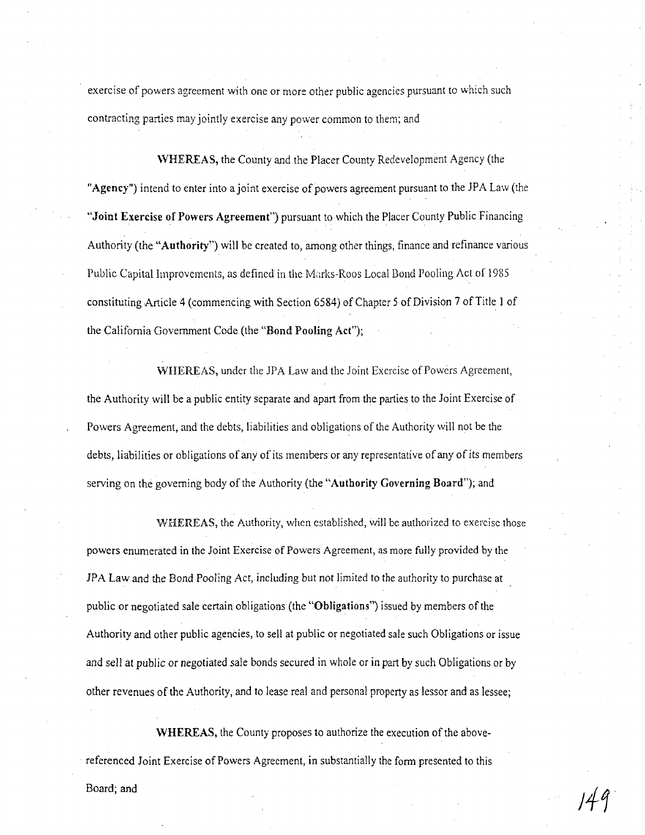exercise of powers agreement with one or more other public agencies pursuant to which such contracting parties may jointly exercise any power common to them; and

WHEREAS, the County and the Placer County Redevelopment Agency (the "Agency") intend to enter into a joint exercise of powers agreement pursuant to the JPA Law (the "Joint Exercise of Powers Agreement") pursuant to which the Placer County Public Financing Authority (the "Authority") will be created to, among other things, finance and refinance various Public Capital Improvements, as defined in the Marks-Roos Local Bond Pooling Act of 1985 constituting Article 4 (commencing with Section 6584) of Chapter 5 of Division 7 of Title 1 of the Califomia Government Code (the "Bond Pooling Act");

WHEREAS, under the JPA Law and the Joint Exercise of Powers Agreement, the Authority will be a public entity separate and apart from the parties to the Joint Exercise of Powers Agreement, and the debts, liabilities and obligations of the Authority will not be the debts, liabilities or obligations of any of its members or any representative of any of *its* members serving on the governing body of the Authority (the "Authority Governing Board"); and

WHEREAS, the Authority, when established, will be authorized to exercise those powers enumerated in the Joint Exercise of Powers Agreement, as more fully provided by the lPA Law and the Bond Pooling Act, including but not limited to the authority to purchase at public or negotiated sale certain obligations (the "Obligations") issued by members of the Authority and other public agencies, to sell at public or negotiated sale such Obligations or issue and sell at public or negotiated sale bonds secured in whole or in part by such Obligations or by other revenues of the Authority, and to lease real and personal property as lessor and as lessee;

WHEREAS, the County proposes to authorize the execution of the abovereferenced loint Exercise of Powers Agreement, in substantially the fonn presented to this

Board; and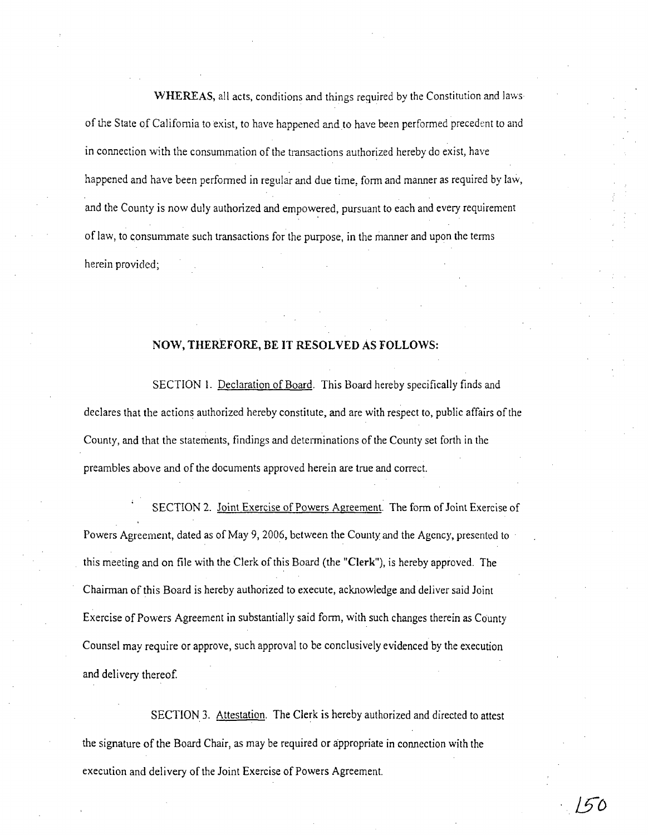WHEREAS, all acts, conditions and things required by the Constitution and laws of the State of California to exist, to have happened and to have been performed precedent to and in connection with the consummation of the transactions authorized hereby do exist, have happened and have been performed in regular and due time, form and manner as required by law, and the County is now duly authorized and empowered, pursuant to each and every requirement of law, to consummate such transactions for the purpose, in the manner and upon the tenns herein provided;

# NOW, THEREFORE, BE IT RESOLVED As FOLLOWS:

SECTION 1. Declaration of Board. This Board hereby specifically finds and declares that the actions authorized hereby constitute, and are with respect to, public affairs of the County, and that the statements, findings and detenninations of the County set forth in the preambles above and of the documents approved herein are true and correct.

SECTION 2. Joint Exercise of Powers Agreement. The form of Joint Exercise of Powers Agreement, dated as of May 9, 2006, between the County and the Agency, presented to this meeting and on file with the Clerk of this Board (the "Clerk"), is hereby approved. The Chairman of this Board is hereby authorized to execute, acknowledge and deliver said Joint Exercise of Powers Agreement in substantially said form, with such changes therein as County Counsel may require or approve, such approval to be conclusively evidenced by the execution and delivery thereof

SECTION 3. Attestation. The Clerk is hereby authorized and directed to attest the signature of the Board Chair, as may be required or appropriate in connection with the execution and delivery of the Joint Exercise of Powers Agreement.

 $150$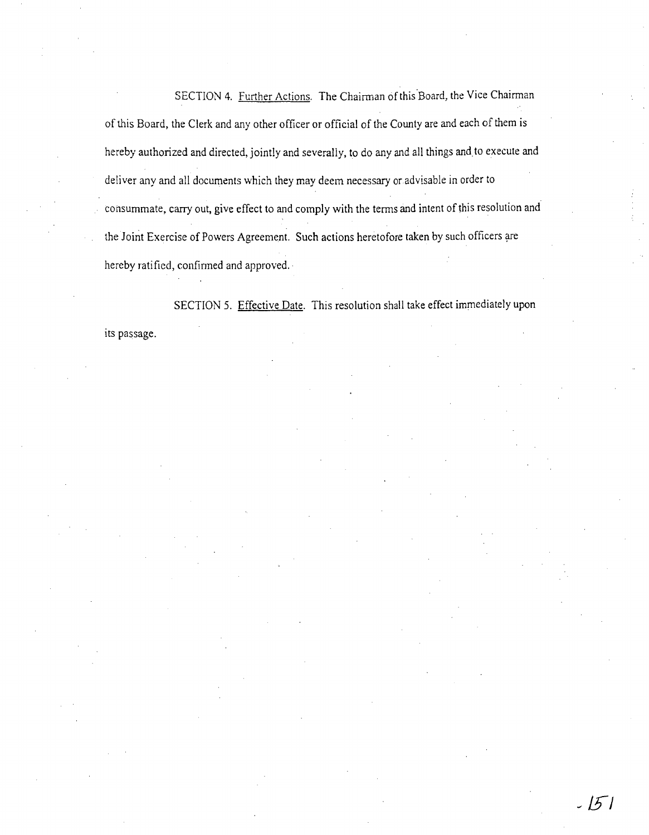SECTION 4. Further Actions. The Chairman of this Board, the Vice Chairman of this Board, the Clerk and any other officer or official of the County are and each of them is hereby authorized and directed, jointly and severally, to do any and all things and to execute and deliver any and all documents which they may deem necessary or advisable in order to consummate, carry out, give effect to and comply with the terms and intent of this resolution and the Joint Exercise of Powers Agreement. Such actions heretofore taken by such officers are hereby ratified, confinned and approved.·

SECTION 5. Effective Date. This resolution shall take effect immediately upon its passage.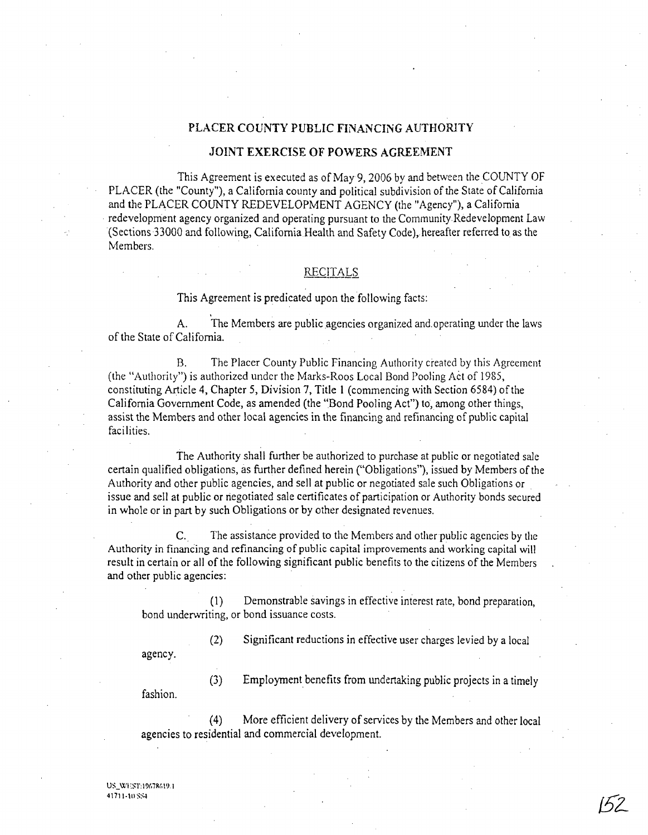### PLACER COUNTY PUBLIC FINANCING AUTHORlTY

### JOINT EXERCISE OF POWERS AGREEMENT

This Agreement is executed as of May 9, 2006 by and between the COUNTY OF PLACER (the "County"), a California county and political subdivision of the State of California and the PLACER COUNTY REDEVELOPMENT AGENCY (the "Agency"), a California redevelopment agency organized and operating pursuant to the Community Redevelopment Law (Sections 33000 and following, California Health and Safety Code), hereafter referred to as the Members.

### **RECITALS**

This Agreement is predicated upon the following facts:

A. The Members are public agencies organized and. operating under the laws of the State of California.

B. The Placer County Public Financing Authority created by this Agreement (the "Authority") is authorized under the Marks-Roos Local Bond Pooling Act of 1985, constituting Article 4, Chapter 5, Division 7, Title 1 (commencing with Section 6584) of the California Government Code, as amended (the "Bond Pooling Act") to, among other things, assist the Members and other local agencies in the financing and refinancing of public capital facilities.

The Authority shall further be authorized to purchase at public or negotiated sale certain qualified obligations, as further defined herein ("Obligations"), issued by Members of the Authority and other public agencies, and sell at public or negotiated sale such Obligations or . issue and sell at public or negotiated sale certificates of participation or Authority bonds secured in whole or in part by such Obligations or by other designated revenues.

C. The assistance provided to the Members and other public agencies by the Authority in financing and refinancing of public capital improvements and working capital will result in certain or all of the following significant public benefits to the citizens of the Members and other public agencies:

(1) Demonstrable savings in effective interest rate, bond preparation, bond underwriting, or bond issuance costs.

(2) Significant reductions in effective user charges levied by a local

agency.

(3) Employment benefits from undertaking public projects in a timely

fashion.

(4) More efficient delivery of services by the Members and other local agencies to residential and commercial development.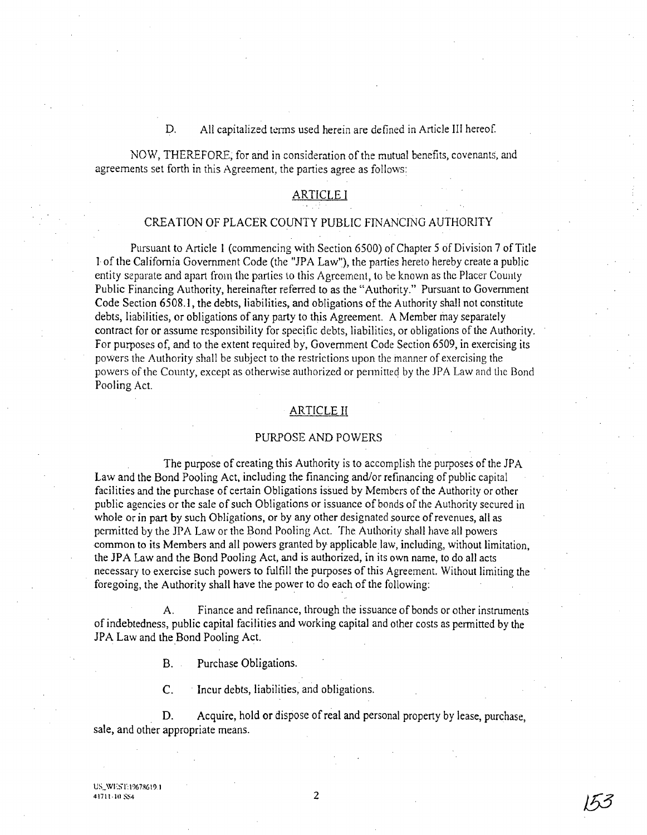### D. All capitalized terms used herein are defined in Article III hereof.

NOW, THEREFORE; for and in consideration of the mutual benefits, covenants, and agreements set forth in this Agreement, the parties agree as follows:

### ARTICLE I

### CREATION OF PLACER COUNTY PUBLIC FINANCING AUTHORITY

Pursuant to Article 1 (commencing with Section 6500) of Chapter 5 of Division 7 of Title 1 of the California Government Code (the "JPA Law'), the parties hereto hereby create a public entity separate and apart from the panics to this Agreement, to be known as the Placer County Public Financing Authority, hereinafter referred to as the "Authority." Pursuant to Government Code Section 6508.1, the debts, liabilities, and obligations of the Authority shall not constitute debts, liabilities, or obligations of any pany to this Agreement. A Member may separately contract for or assume responsibility for specific debts, liabilities, or obligations of the Authority. For purposes of, and to the extent required by, Government Code Section 6509, in exercising its powers the Authority shall be subject to the restrictions upon the manner of exercising the powers of the County, except as otherwise authorized or permitted by the JPA Law and the Bond Pooling Act.

### ARTICLE II

#### PURPOSE AND POWERS

The purpose of creating this Authority is to accomplish the purposes of the JPA Law and the Bond Pooling Act, including the financing and/or refinancing of public capital facilities and the purchase of certain Obligations issued by Members of the Authority or other public agencies or the sale of such Obligations or issuance of bonds of the Authority secured in whole or in part by such Obligations, or by any other designated source of revenues, all as permitted by the JPA Law or the Bond Pooling Act. The Authority shall have all powers common to its Members and all powers granted by applicable law, including, without limitation, the JP A Law and the Bond Pooling Act, and is authorized, in its own name, to do all acts necessary to exercise such powers to fulfill the purposes of this Agreement. Without limiting the foregoing, the Authority shall have the power to do each of the following:

A. Finance and refinance, through the issuance of bonds or other instruments of indebtedness, public capital facilities and working capital and other costs as permined by the JPA Law and the Bond Pooling Act.

B. Purchase Obligations.

C. . Incur debts, liabilities, and obligations.

D. Acquire, hold or dispose of real and personal property by lease, purchase, sale, and other appropriate means.

153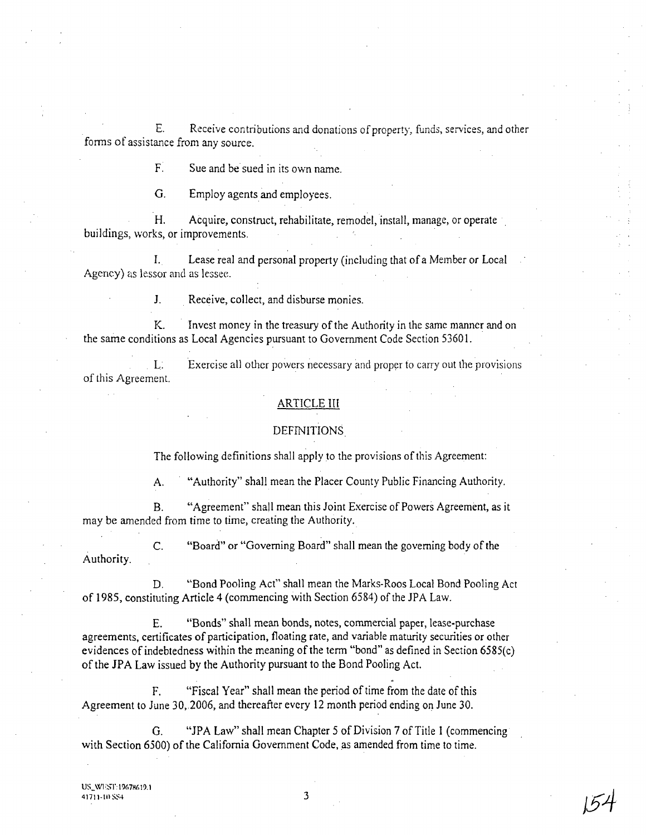E. Receive contributions and donations of property, funds, services, and other forms of assistance from any source.

F. Sue and be sued in its own name.

G. Employ agents and employees.

H. Acquire, construct, rehabilitate, remodel, install, manage, or operate buildings, works, or improvements.

I. Lease real and personal property (including that of a Member or Local Agency) as lessor and as lessee.

1. Receive, collect, and disburse monies.

K. Invest money in the treasury of the Authority in the same manner and on the same conditions as Local Agencies pursuant to Government Code Section 53601.

L. Exercise all other powers necessary and proper to carry out the provisions of this Agreement.

## ARTICLE III

### DEFINITIONS

The following definitions shall apply to the provisions of this Agreement:

A. "Authority" shall mean the Placer County Public Financing Authority.

B. "Agreement" shall mean this Joint Exercise of Powers Agreement, as it may be amended from time to time, creating the Authority.

C. "Board" or "Governing Board" shall mean the governing body of the Authority.

D. "Bond Pooling Act" shall mean the Marks-Roos Local Bond Pooling Act of 1985, constituting Article 4 (commencing with Section 6584) of the JPA Law.

E. "Bonds" shall mean bonds, notes, commercial paper, lease-purchase agreements, certificates of participation, floating rate, and variable maturity securities or other evidences of indebtedness within the meaning of the term "bond" as defined in Section 6585(c) of the JPA Law issued by the Authority pursuant to the Bond Pooling Act.

F. "Fiscal Year" shall mean the period of time from the date of this Agreement to June 30,.2006, and thereafter every 12 month period ending on June 30.

G. "JPA Law" shall mean Chapter 5 of Division 7 of Title 1 (commencing with Section 6500) of the California Government Code, as amended from time to time.

41711-101584  $154$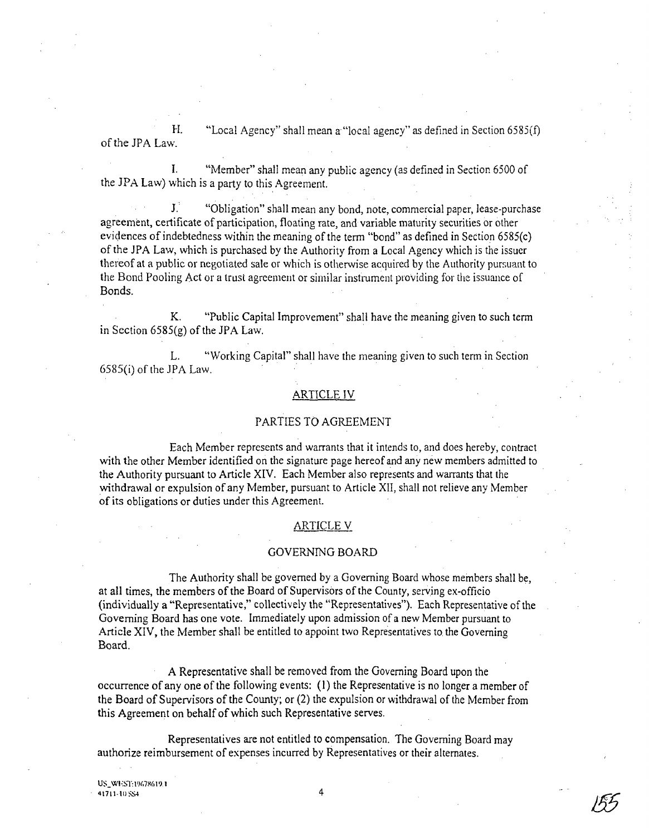H. of the JPA Law. "Local Agency" shall mean a "local agency" as defined in Section 6585(f)

I. "Member" shall mean any public agency (as defined in Section 6500 of the JPA Law) which is a party to this Agreement.

1. "Obligation" shall mean any bond, note, commercial paper, lease-purchase agreement, certificate of participation, floating rate, and variable maturity securities or other evidences of indebtedness within the meaning of the term "bond" as defined in Section 6585(c) of the JPA Law, which is purchased by the Authority from a Local Agency which is the issuer thereof at a public or negotiated sale or which is otherwise acquired by the Authority pursuant to the Bond Pooling Act or a trust agreement or similar instrument providing for the issuance of Bonds.

K. "Public Capital Improvement" shall have the meaning given to such term in Section  $6585(g)$  of the JPA Law.

L. "Working Capital" shall have the meaning given to such term in Section 6585(i) of the JPA Law. .

#### ARTICLE IV

### PARTIES TO AGREEMENT

Each Member represents and warrants that it intends to, and does hereby, contract with the other Member identified on the signature page hereof and any new members admitted to the Authority pursuant to Article XIV. Each Member also represents and warrants that the withdrawal or expulsion of any Member, pursuant to Article XII, shall not relieve any Member of its obligations or duties under this Agreement.

#### ARTICLE V

#### GOVERNING BOARD

The Authority shall be governed by a Governing Board whose members shall be, at all times, the members of the Board of Supervisors of the County, serving ex-officio (individually a "Representative," collectively the "Representatives"). Each Representative of the Governing Board has one vote. Immediately upon admission of a new Member pursuant to Article XIV, the Member shall be entitled to appoint two Representatives to the Governing Board.

A Representative shall be removed from the Governing Board upon the occurrence of anyone of the following events: (1) the Representative is no longer a member of the Board of Supervisors of the County; or (2) the expulsion or withdrawal of the Member from this Agreement on behalf of which such Representative serves.

Representatives are not entitled to compensation. The Governing Board may authorize reimbursement of expenses incurred by Representatives or their alternates.

US\_WEST: 19678619.1  $41711 \cdot 10$  SS4 4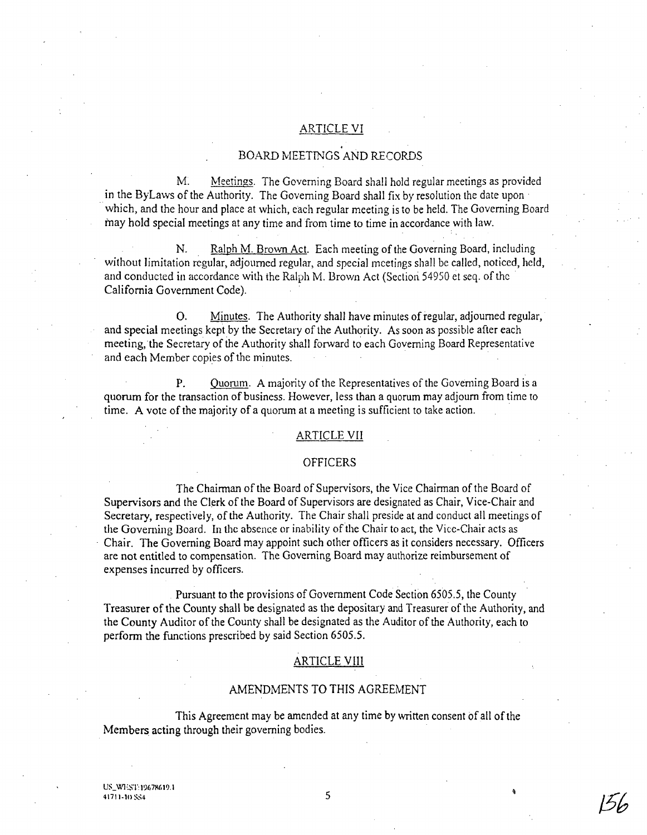### ARTICLE VI

# . BOARD MEETINGS AND RECORDS

M. Meetings. The Governing Board shall hold regular meetings as provided in the ByLaws of the Authority. The Governing Board shall fix by resolution the date upon· which, and the hour and place at which, each regular meeting is to be held. The Governing Board may hold special meetings at any time and from time to time in accordance with law.

N. Ralph M. Brown Act. Each meeting of the Governing Board, including without limitation regular, adjourned regular, and special meetings shall be called, noticed, held, and conducted in accordance with the Ralph M. Brown Act (Section 54950 et seq. of the California Government Code).

O. Minutes. The Authority shall have minutes of regular, adjourned regular, and special meetings kept by the Secretary of the Authority. As soon as possible after each meeting, the Secretary of the Authority shall forward to each Governing Board Representative and each Member copies of the minutes.

P. Quorum. A majority of the Representatives of the Governing Board is a quorum for the transaction of business. However, less than a quorum may adjourn from time to time. A vote of the majority of a quorum at a meeting is sufficient to take action.

#### **ARTICLE VII**

### OFFICERS

The Chairman of the Board of Supervisors, the Vice Chairman of the Board of Supervisors and the Clerk of the Board of Supervisors are designated as Chair, Vice-Chair and Secretary, respectively, of the Authority. The Chair shall preside at and conduct all meetings of the Governing Board. In the absence or inability of the Chair to act, the Vice-Chair acts as . Chair. The Governing Board may appoint such other officers as it considers necessary. Officers are not entitled to compensation. The Governing Board may authorize reimbursement of expenses incurred by officers.

Pursuant to the provisions of Government Code Section 6505.5, the County Treasurer of the County shall be designated as the depositary and Treasurer of the Authority, and the County Auditor of the County shall be designated as the Auditor of the Authority, each to perform the functions prescribed by said Section 6505.5.

#### ARTICLE VIII

#### AMENDMENTS TO THIS AGREEMENT

This Agreement may be amended at any time by written consent of all of the Members acting through their governing bodies.

156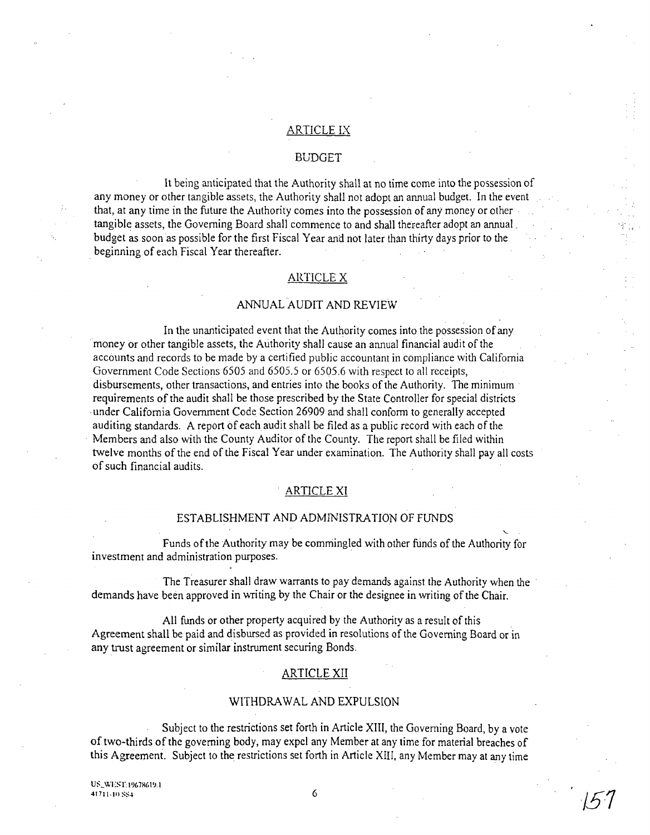### ARTICLE IX

### BUDGET

It being anticipated that the Authority shall at no time come into the possession of any money or other tangible assets, the Authority shall not adopt an annual budget. In the event that, at any time in the future the Authority comes into the possession of any money or other . tangible assets, the Governing Board shall commence to and shall thereafter adopt an annual. budget as soon as possible for the first Fiscal Year and not later than thirty days prior to the . beginning of each Fiscal Year thereafter.

### ARTICLE X

### ANNUAL AUDIT AND REVIEW

In the unanticipated event that the Authority comes into the possession of any money or other tangible assets, the Authority shall cause an annual financial audit of the accounts and records to be made by a certified public accountant in compliance with California Government Code Sections 6505 and 6505.5 or 6505.6 with respect to all receipts, disbursements, other transactions, and entries into the books of the Authority. The minimum requirements of the audit shall be those prescribed by the State Controller for special districts . under California Government Code Section 26909 and shall conform to generally accepted auditing standards. A report of each audit shall be filed as a public record with each of the . Members and also with the County Auditor of the County. The report shall be filed within twelve months of the end of the Fiscal Year under examination. The Authority shall pay all costs of such financial audits.

### ARTICLE XI

### ESTABLISHMENT AND ADMINISTRATION OF FUNDS

Funds of the Authority may be commingled with other funds of the Authority for investment and administration purposes. .

The Treasurer shall draw warrants to pay demands against the Authority when the demands have been approved in writing by the Chair or the designee in writing of the Chair.

All funds or other property acquired by the Authority as a result of this Agreement shall be paid and disbursed as provided in resolutions of the Governing Board or in any trust agreement or similar instrument securing Bonds.

### ARTICLE XII

#### WITHDRAWAL AND EXPULSION

Subject to the restrictions set forth in Article XIII, the Governing Board, by a vote of two-thirds of the governing body, may expel any Member at any time for material breaches of this Agreement. Subject to the restrictions set forth in Article XIII, any Member may at any time

 $\mathcal{F}_{\mathbf{r}}$  .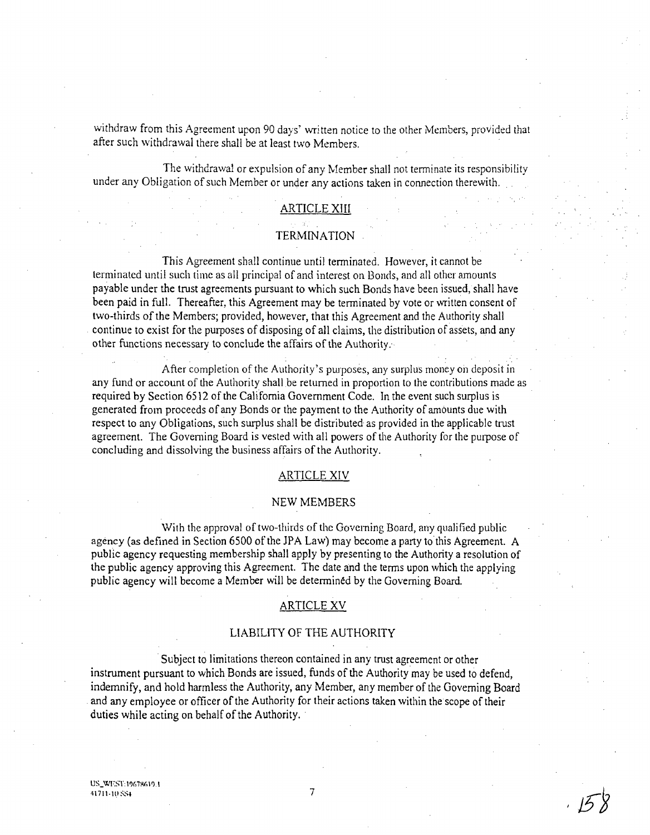withdraw from this Agreement upon 90 days' written notice to the other Members, provided that after such withdrawal there shall be at least two Members.

The withdrawal or expulsion of any Member shall not terminate its responsibility under any Obligation of such Member or under any actions taken in connection therewith.

### ARTICLE XIII

#### **TERMINATION**

This Agreement shall continue until terminated. However, it cannot be terminated until such time as all principal of and interest on Bonds, and all other amounts payable under the trust agreements pursuant to which such Bonds have been issued, shall have been paid in full. Thereafter, this Agreement may be terminated by vote or written consent of two-thirds of the Members; provided, however, that this Agreement and the Authority shall continue to exist for the purposes of disposing of all claims, the distribution of assets, and any other functions necessary to conclude the affairs of the Authority.

After completion of the Authority's purposes, any surplus money on deposit in any fund or account of the Authority shall be returned in proportion to the contributions made as required by Section 6512 of the California Government Code. In the event such surplus is generated from proceeds of any Bonds or the payment to the Authority of amounts due with respect to any Obligations, such surplus shall be distributed as provided in the applicable trust agreement. The Goveming Board is vested with all powers of the Authority for the purpose of concluding and dissolving the business affairs of the Authority.

#### ARTICLE XIV

### NEW MEMBERS

With the approval of two-thirds of the Governing Board, any qualified public agency (as defined in Section 6500 of the JPA Law) may become a party to this Agreement. A public agency requesting membership shall apply by presenting to the Authority a resolution of the public agency approving this Agreement. The date and the terms upon which the applying public agency will become a Member will be determined by the Governing Board.

### ARTICLE XV

### LIABILITY OF THE AUTHORITY

Subject to limitations thereon contained in any trust agreement or other instrument pursuant to which Bonds are issued, funds of the Authority may be used to defend. indemnify, and hold harmless the Authority, any Member, any member of the Governing Board . and any employee or officer of the Authority for their actions taken within the scope of their duties while acting on behalf of the Authority.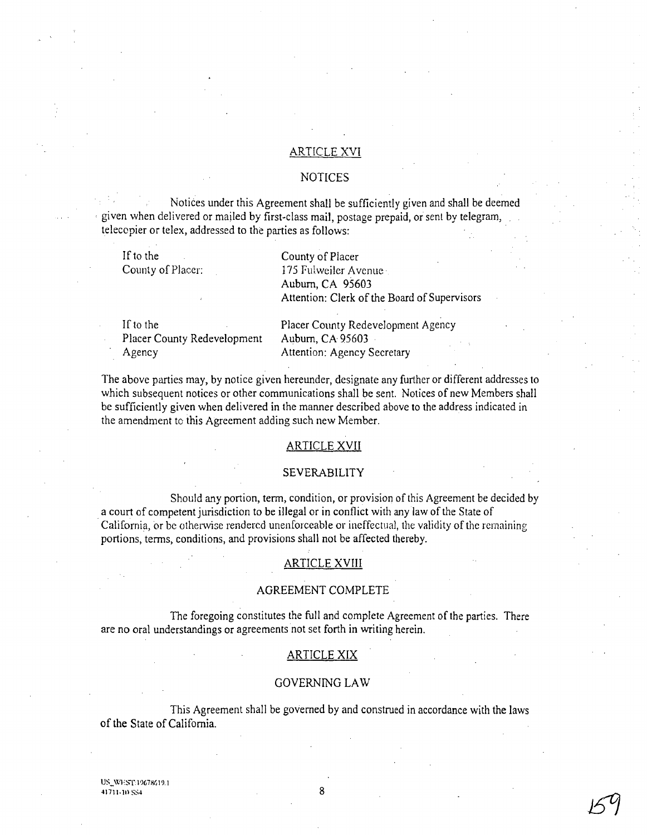### ARTICLE XVI

### NOTICES

Notices under this Agreement shall be sufficiently given and shall be deemed given when delivered or mailed by first-class mail, postage prepaid, or sent by telegram, telecopier or telex, addressed to the parties as follows: .

If to the County of Placer:

County of Placer 175 Fulweiler Avenue Auburn, CA 95603 Attention: Clerk of the Board of Supervisors

If to the Placer County Redevelopment Agency

Placer County Redevelopment Agency Auburn, CA 95603 Attention: Agency Secretary

The above parties may, by notice given hereunder, designate any further or different addresses to which subsequent notices or other communications shall be sent. Notices of new Members shall be sufficiently given when delivered in the manner described above to the address indicated in the amendment to this Agreement adding such new Member.

### ARTICLE XVII

### SEVERABILITY

Should any portion, term, condition, or provision of this Agreement be decided by a court of competent jurisdiction to be illegal or in conflict with any law of the State of . California, or be otherwise rendered unenforceable or ineffectual, the validity of the remaining portions, terms, conditions, and provisions shall not be affected thereby.

### ARTICLE XVIII

#### AGREEMENT COMPLETE

The foregoing constitutes the full and complete Agreement of the parties. There are no oral understandings or agreements not set forth in writing herein.

### ARTICLE XIX

#### GOVERNING LA W

This Agreement shall be governed by and construed in accordance with the laws of the State of California.

US\_WEST: 19678619.1 41711·10 SS4 8